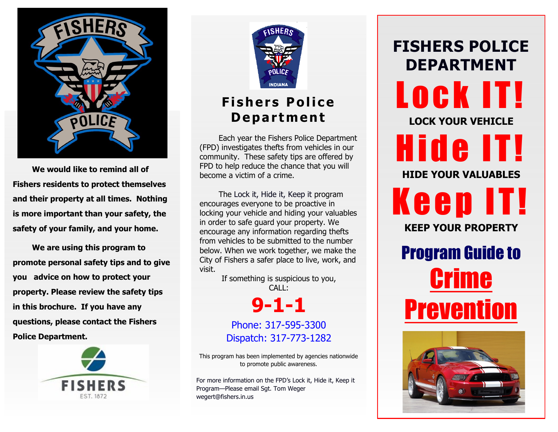

**We would like to remind all of Fishers residents to protect themselves and their property at all times. Nothing is more important than your safety, the safety of your family, and your home.**

**We are using this program to promote personal safety tips and to give you advice on how to protect your property. Please review the safety tips in this brochure. If you have any questions, please contact the Fishers Police Department.**





### **Fishers Police D e p a r t m en t**

Each year the Fishers Police Department (FPD) investigates thefts from vehicles in our community. These safety tips are offered by FPD to help reduce the chance that you will become a victim of a crime.

The Lock it, Hide it, Keep it program encourages everyone to be proactive in locking your vehicle and hiding your valuables in order to safe guard your property. We encourage any information regarding thefts from vehicles to be submitted to the number below. When we work together, we make the City of Fishers a safer place to live, work, and visit.

If something is suspicious to you, CALL:

**9-1-1**

Phone: 317-595-3300 Dispatch: 317-773-1282

This program has been implemented by agencies nationwide to promote public awareness.

For more information on the FPD's Lock it, Hide it, Keep it Program—Please email Sgt. Tom Weger wegert@fishers.in.us

**FISHERS POLICE DEPARTMENT** LOCK IT! **LOCK YOUR VEHICLE** Hide IT! **HIDE YOUR VALUABLES** Keep IT! **KEEP YOUR PROPERTY** Program Guide to Crime **Prevention**